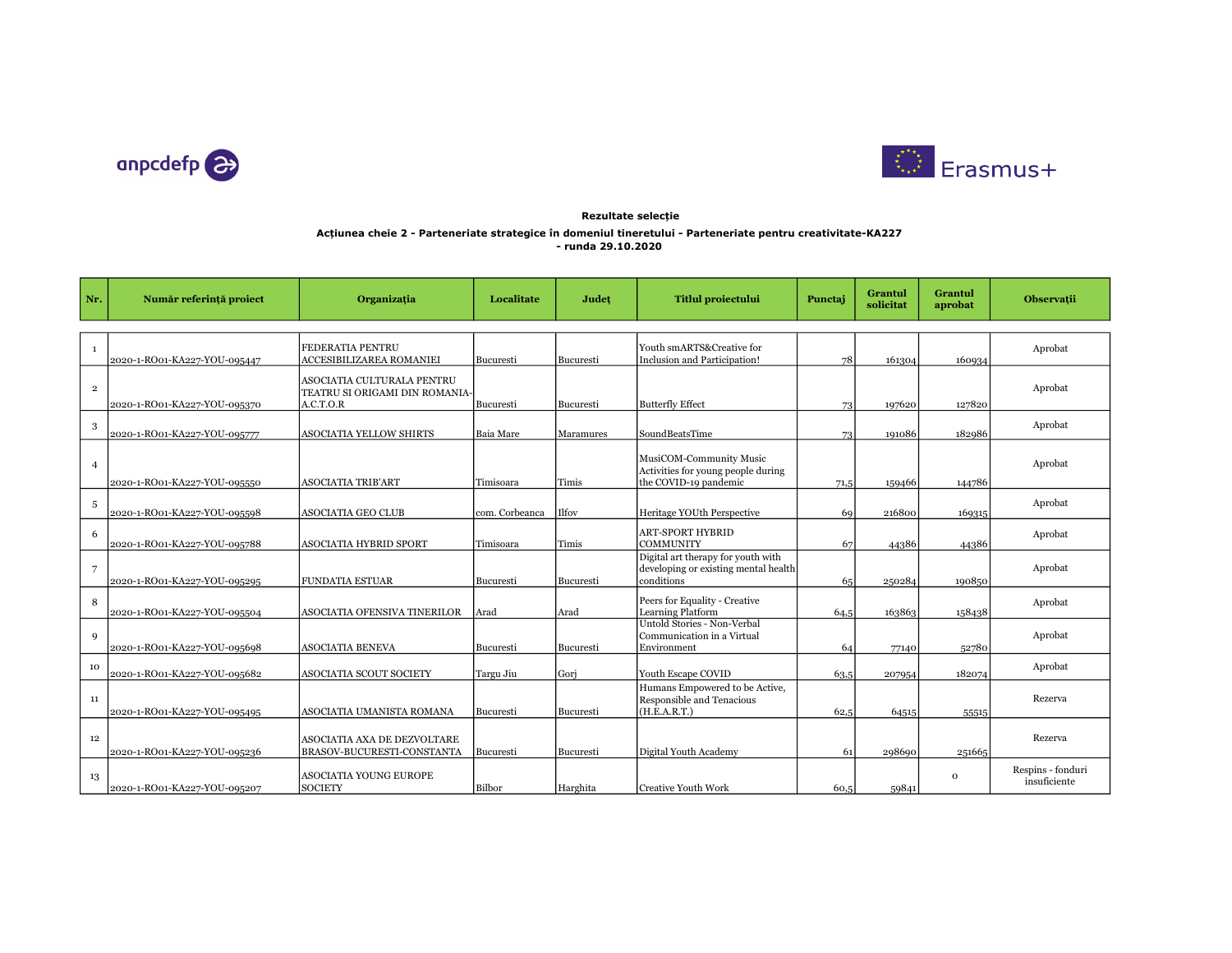



## Acțiunea cheie 2 - Parteneriate strategice în domeniul tineretului - Parteneriate pentru creativitate-KA227 - runda 29.10.2020 Rezultate selecție

| Nr.            | Număr referință proiect      | Organizația                                                               | Localitate     | Județ     | <b>Titlul proiectului</b>                                                                | Punctaj | Grantul<br>solicitat | Grantul<br>aprobat | Observații                        |
|----------------|------------------------------|---------------------------------------------------------------------------|----------------|-----------|------------------------------------------------------------------------------------------|---------|----------------------|--------------------|-----------------------------------|
|                |                              |                                                                           |                |           |                                                                                          |         |                      |                    |                                   |
| $\mathbf{1}$   | 2020-1-RO01-KA227-YOU-095447 | FEDERATIA PENTRU<br>ACCESIBILIZAREA ROMANIEI                              | Bucuresti      | Bucuresti | Youth smARTS&Creative for<br>Inclusion and Participation!                                | 78      | 161304               | 160934             | Aprobat                           |
| $\,2\,$        | 2020-1-RO01-KA227-YOU-095370 | ASOCIATIA CULTURALA PENTRU<br>TEATRU SI ORIGAMI DIN ROMANIA-<br>A.C.T.O.R | Bucuresti      | Bucuresti | <b>Butterfly Effect</b>                                                                  | 73      | 197620               | 127820             | Aprobat                           |
| 3              | 2020-1-RO01-KA227-YOU-095777 | <b>ASOCIATIA YELLOW SHIRTS</b>                                            | Baia Mare      | Maramures | SoundBeatsTime                                                                           | 73      | 191086               | 182986             | Aprobat                           |
| $\overline{4}$ | 2020-1-RO01-KA227-YOU-095550 | <b>ASOCIATIA TRIB'ART</b>                                                 | Timisoara      | Timis     | MusiCOM-Community Music<br>Activities for young people during<br>the COVID-19 pandemic   | 71,5    | 159466               | 144786             | Aprobat                           |
| 5              | 2020-1-RO01-KA227-YOU-095598 | <b>ASOCIATIA GEO CLUB</b>                                                 | com. Corbeanca | Ilfov     | Heritage YOUth Perspective                                                               | 69      | 216800               | 169315             | Aprobat                           |
| 6              | 2020-1-RO01-KA227-YOU-095788 | <b>ASOCIATIA HYBRID SPORT</b>                                             | Timisoara      | Timis     | <b>ART-SPORT HYBRID</b><br><b>COMMUNITY</b>                                              | 67      | 44386                | 44386              | Aprobat                           |
| $\overline{7}$ | 2020-1-RO01-KA227-YOU-095295 | <b>FUNDATIA ESTUAR</b>                                                    | Bucuresti      | Bucuresti | Digital art therapy for youth with<br>developing or existing mental health<br>conditions | 65      | 250284               | 190850             | Aprobat                           |
| 8              | 2020-1-RO01-KA227-YOU-095504 | ASOCIATIA OFENSIVA TINERILOR                                              | Arad           | Arad      | Peers for Equality - Creative<br><b>Learning Platform</b>                                | 64,5    | 163863               | 158438             | Aprobat                           |
| $\mathbf{Q}$   | 2020-1-RO01-KA227-YOU-095698 | <b>ASOCIATIA BENEVA</b>                                                   | Bucuresti      | Bucuresti | Untold Stories - Non-Verbal<br>Communication in a Virtual<br>Environment                 | 64      | 77140                | 52780              | Aprobat                           |
| 10             | 2020-1-RO01-KA227-YOU-095682 | <b>ASOCIATIA SCOUT SOCIETY</b>                                            | Targu Jiu      | Gorj      | Youth Escape COVID                                                                       | 63,5    | 207954               | 182074             | Aprobat                           |
| 11             | 2020-1-RO01-KA227-YOU-095495 | ASOCIATIA UMANISTA ROMANA                                                 | Bucuresti      | Bucuresti | Humans Empowered to be Active,<br>Responsible and Tenacious<br>(H.E.A.R.T.)              | 62,5    | 64515                | 55515              | Rezerva                           |
| 12             | 2020-1-RO01-KA227-YOU-095236 | ASOCIATIA AXA DE DEZVOLTARE<br>BRASOV-BUCURESTI-CONSTANTA                 | Bucuresti      | Bucuresti | Digital Youth Academy                                                                    | 61      | 298690               | 251665             | Rezerva                           |
| 13             | 2020-1-RO01-KA227-YOU-095207 | <b>ASOCIATIA YOUNG EUROPE</b><br><b>SOCIETY</b>                           | Bilbor         | Harghita  | Creative Youth Work                                                                      | 60,5    | 59841                | $\mathbf{o}$       | Respins - fonduri<br>insuficiente |